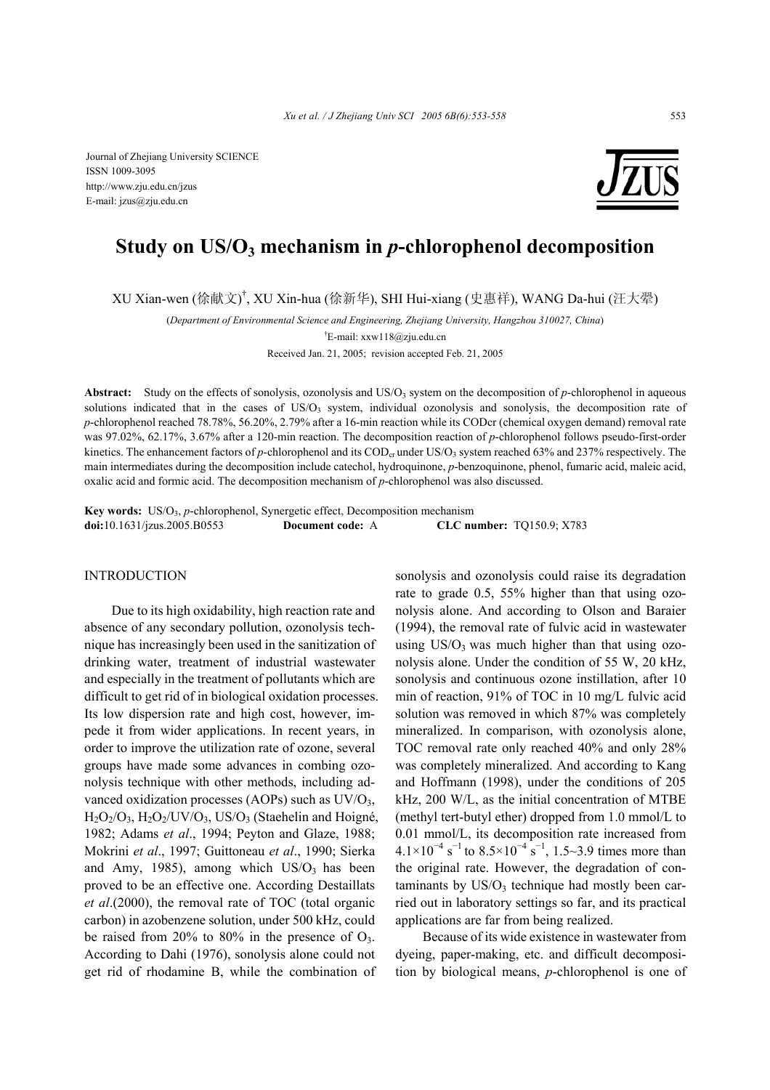Journal of Zhejiang University SCIENCE ISSN 1009-3095 http://www.zju.edu.cn/jzus E-mail: jzus@zju.edu.cn



# **Study on US/O3 mechanism in** *p***-chlorophenol decomposition**

XU Xian-wen (徐献文) † , XU Xin-hua (徐新华), SHI Hui-xiang (史惠祥), WANG Da-hui (汪大翚)

(*Department of Environmental Science and Engineering, Zhejiang University, Hangzhou 310027, China*)

† E-mail: xxw118@zju.edu.cn

Received Jan. 21, 2005; revision accepted Feb. 21, 2005

**Abstract:** Study on the effects of sonolysis, ozonolysis and US/O<sub>3</sub> system on the decomposition of *p*-chlorophenol in aqueous solutions indicated that in the cases of US/O<sub>3</sub> system, individual ozonolysis and sonolysis, the decomposition rate of *p*-chlorophenol reached 78.78%, 56.20%, 2.79% after a 16-min reaction while its CODcr (chemical oxygen demand) removal rate was 97.02%, 62.17%, 3.67% after a 120-min reaction. The decomposition reaction of *p*-chlorophenol follows pseudo-first-order kinetics. The enhancement factors of *p*-chlorophenol and its COD<sub>cr</sub> under US/O<sub>3</sub> system reached 63% and 237% respectively. The main intermediates during the decomposition include catechol, hydroquinone, *p*-benzoquinone, phenol, fumaric acid, maleic acid, oxalic acid and formic acid. The decomposition mechanism of *p*-chlorophenol was also discussed.

**Key words:** US/O<sub>3</sub>, *p*-chlorophenol, Synergetic effect, Decomposition mechanism **doi:**10.1631/jzus.2005.B0553 **Document code:** A **CLC number:** TQ150.9; X783

# INTRODUCTION

Due to its high oxidability, high reaction rate and absence of any secondary pollution, ozonolysis technique has increasingly been used in the sanitization of drinking water, treatment of industrial wastewater and especially in the treatment of pollutants which are difficult to get rid of in biological oxidation processes. Its low dispersion rate and high cost, however, impede it from wider applications. In recent years, in order to improve the utilization rate of ozone, several groups have made some advances in combing ozonolysis technique with other methods, including advanced oxidization processes (AOPs) such as  $UV/O<sub>3</sub>$ ,  $H_2O_2/O_3$ ,  $H_2O_2/UV/O_3$ , US/O<sub>3</sub> (Staehelin and Hoigné, 1982; Adams *et al*., 1994; Peyton and Glaze, 1988; Mokrini *et al*., 1997; Guittoneau *et al*., 1990; Sierka and Amy, 1985), among which  $US/O<sub>3</sub>$  has been proved to be an effective one. According Destaillats *et al*.(2000), the removal rate of TOC (total organic carbon) in azobenzene solution, under 500 kHz, could be raised from 20% to 80% in the presence of  $O_3$ . According to Dahi (1976), sonolysis alone could not get rid of rhodamine B, while the combination of

sonolysis and ozonolysis could raise its degradation rate to grade 0.5, 55% higher than that using ozonolysis alone. And according to Olson and Baraier (1994), the removal rate of fulvic acid in wastewater using  $US/O_3$  was much higher than that using ozonolysis alone. Under the condition of 55 W, 20 kHz, sonolysis and continuous ozone instillation, after 10 min of reaction, 91% of TOC in 10 mg/L fulvic acid solution was removed in which 87% was completely mineralized. In comparison, with ozonolysis alone, TOC removal rate only reached 40% and only 28% was completely mineralized. And according to Kang and Hoffmann (1998), under the conditions of 205 kHz, 200 W/L, as the initial concentration of MTBE (methyl tert-butyl ether) dropped from 1.0 mmol/L to 0.01 mmol/L, its decomposition rate increased from  $4.1 \times 10^{-4}$  s<sup>-1</sup> to  $8.5 \times 10^{-4}$  s<sup>-1</sup>, 1.5~3.9 times more than the original rate. However, the degradation of contaminants by  $US/O_3$  technique had mostly been carried out in laboratory settings so far, and its practical applications are far from being realized.

Because of its wide existence in wastewater from dyeing, paper-making, etc. and difficult decomposition by biological means, *p*-chlorophenol is one of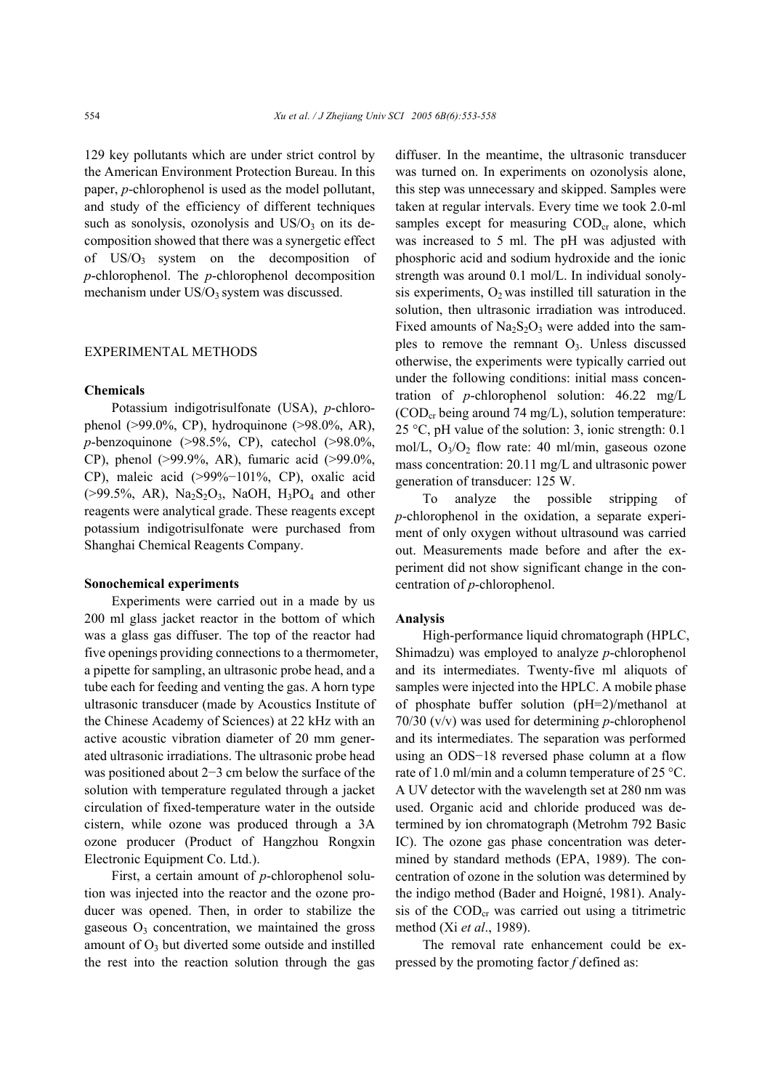129 key pollutants which are under strict control by the American Environment Protection Bureau. In this paper, *p*-chlorophenol is used as the model pollutant, and study of the efficiency of different techniques such as sonolysis, ozonolysis and  $US/O<sub>3</sub>$  on its decomposition showed that there was a synergetic effect of  $US/O_3$  system on the decomposition of *p*-chlorophenol. The *p*-chlorophenol decomposition mechanism under  $US/O_3$  system was discussed.

## EXPERIMENTAL METHODS

### **Chemicals**

Potassium indigotrisulfonate (USA), *p*-chlorophenol (>99.0%, CP), hydroquinone (>98.0%, AR), *p*-benzoquinone (>98.5%, CP), catechol (>98.0%, CP), phenol (>99.9%, AR), fumaric acid (>99.0%, CP), maleic acid (>99%−101%, CP), oxalic acid  $(>99.5\%, AR)$ , Na<sub>2</sub>S<sub>2</sub>O<sub>3</sub>, NaOH, H<sub>3</sub>PO<sub>4</sub> and other reagents were analytical grade. These reagents except potassium indigotrisulfonate were purchased from Shanghai Chemical Reagents Company.

#### **Sonochemical experiments**

Experiments were carried out in a made by us 200 ml glass jacket reactor in the bottom of which was a glass gas diffuser. The top of the reactor had five openings providing connections to a thermometer, a pipette for sampling, an ultrasonic probe head, and a tube each for feeding and venting the gas. A horn type ultrasonic transducer (made by Acoustics Institute of the Chinese Academy of Sciences) at 22 kHz with an active acoustic vibration diameter of 20 mm generated ultrasonic irradiations. The ultrasonic probe head was positioned about 2−3 cm below the surface of the solution with temperature regulated through a jacket circulation of fixed-temperature water in the outside cistern, while ozone was produced through a 3A ozone producer (Product of Hangzhou Rongxin Electronic Equipment Co. Ltd.).

First, a certain amount of *p*-chlorophenol solution was injected into the reactor and the ozone producer was opened. Then, in order to stabilize the gaseous  $O_3$  concentration, we maintained the gross amount of  $O<sub>3</sub>$  but diverted some outside and instilled the rest into the reaction solution through the gas diffuser. In the meantime, the ultrasonic transducer was turned on. In experiments on ozonolysis alone, this step was unnecessary and skipped. Samples were taken at regular intervals. Every time we took 2.0-ml samples except for measuring  $\text{COD}_{cr}$  alone, which was increased to 5 ml. The pH was adjusted with phosphoric acid and sodium hydroxide and the ionic strength was around 0.1 mol/L. In individual sonolysis experiments,  $O_2$  was instilled till saturation in the solution, then ultrasonic irradiation was introduced. Fixed amounts of  $Na<sub>2</sub>S<sub>2</sub>O<sub>3</sub>$  were added into the samples to remove the remnant  $O_3$ . Unless discussed otherwise, the experiments were typically carried out under the following conditions: initial mass concentration of *p*-chlorophenol solution: 46.22 mg/L  $(COD<sub>cr</sub> being around 74 mg/L)$ , solution temperature: 25 °C, pH value of the solution: 3, ionic strength: 0.1 mol/L,  $O_3/O_2$  flow rate: 40 ml/min, gaseous ozone mass concentration: 20.11 mg/L and ultrasonic power generation of transducer: 125 W.

To analyze the possible stripping of *p*-chlorophenol in the oxidation, a separate experiment of only oxygen without ultrasound was carried out. Measurements made before and after the experiment did not show significant change in the concentration of *p*-chlorophenol.

# **Analysis**

High-performance liquid chromatograph (HPLC, Shimadzu) was employed to analyze *p*-chlorophenol and its intermediates. Twenty-five ml aliquots of samples were injected into the HPLC. A mobile phase of phosphate buffer solution (pH=2)/methanol at 70/30 (v/v) was used for determining *p*-chlorophenol and its intermediates. The separation was performed using an ODS−18 reversed phase column at a flow rate of 1.0 ml/min and a column temperature of 25 °C. A UV detector with the wavelength set at 280 nm was used. Organic acid and chloride produced was determined by ion chromatograph (Metrohm 792 Basic IC). The ozone gas phase concentration was determined by standard methods (EPA, 1989). The concentration of ozone in the solution was determined by the indigo method (Bader and Hoigné, 1981). Analysis of the  $\text{COD}_{\text{cr}}$  was carried out using a titrimetric method (Xi *et al*., 1989).

The removal rate enhancement could be expressed by the promoting factor *f* defined as: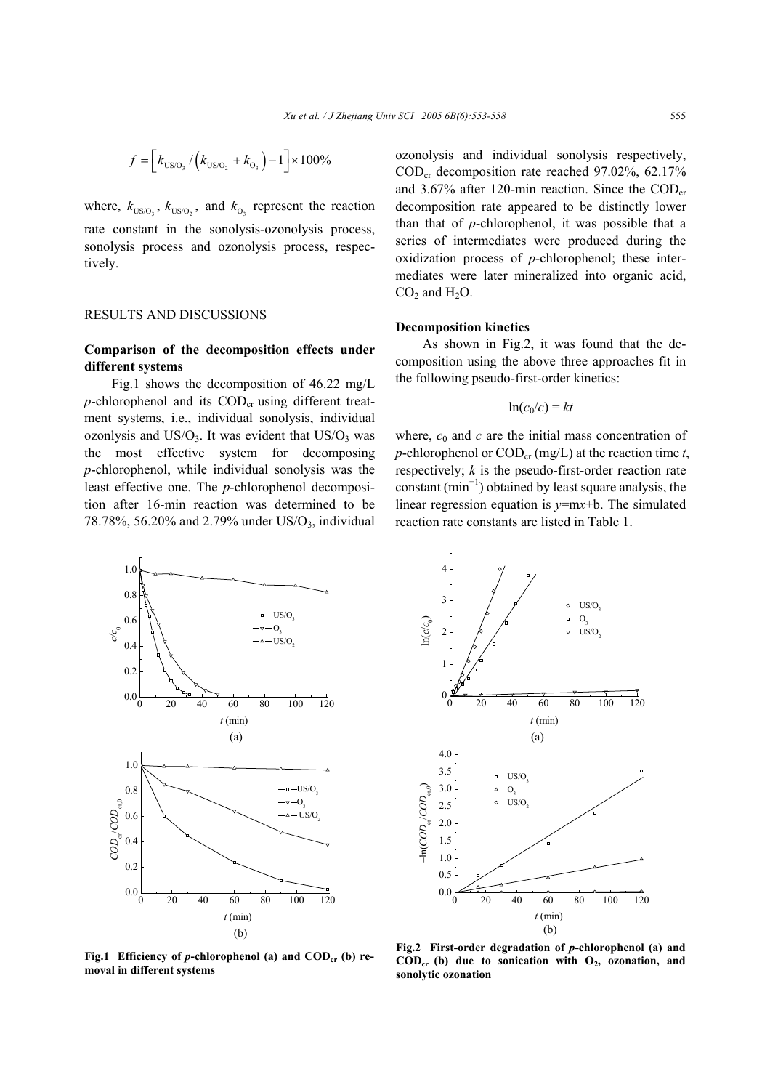$$
f = \left[k_{\text{US/O}_3} / \left(k_{\text{US/O}_2} + k_{\text{O}_3}\right) - 1\right] \times 100\%
$$

where,  $k_{\text{US/O}_3}$ ,  $k_{\text{US/O}_2}$ , and  $k_{\text{O}_3}$  represent the reaction rate constant in the sonolysis-ozonolysis process, sonolysis process and ozonolysis process, respectively.

#### RESULTS AND DISCUSSIONS

# **Comparison of the decomposition effects under different systems**

Fig.1 shows the decomposition of 46.22 mg/L  $p$ -chlorophenol and its  $\text{COD}_{cr}$  using different treatment systems, i.e., individual sonolysis, individual ozonlysis and  $US/O<sub>3</sub>$ . It was evident that  $US/O<sub>3</sub>$  was the most effective system for decomposing *p*-chlorophenol, while individual sonolysis was the least effective one. The *p*-chlorophenol decomposition after 16-min reaction was determined to be 78.78%, 56.20% and 2.79% under  $US/O_3$ , individual ozonolysis and individual sonolysis respectively, CODcr decomposition rate reached 97.02%, 62.17% and 3.67% after 120-min reaction. Since the  $\text{COD}_\text{cr}$ decomposition rate appeared to be distinctly lower than that of *p*-chlorophenol, it was possible that a series of intermediates were produced during the oxidization process of *p*-chlorophenol; these intermediates were later mineralized into organic acid,  $CO<sub>2</sub>$  and  $H<sub>2</sub>O$ .

#### **Decomposition kinetics**

As shown in Fig.2, it was found that the decomposition using the above three approaches fit in the following pseudo-first-order kinetics:

$$
\ln(c_0/c) = kt
$$

where,  $c_0$  and  $c$  are the initial mass concentration of *p*-chlorophenol or  $\text{COD}_{\text{cr}}$  (mg/L) at the reaction time *t*, respectively; *k* is the pseudo-first-order reaction rate constant  $(\text{min}^{-1})$  obtained by least square analysis, the linear regression equation is *y*=m*x*+b. The simulated reaction rate constants are listed in Table 1.



Fig.1 Efficiency of *p*-chlorophenol (a) and COD<sub>cr</sub> (b) re**moval in different systems**



**Fig.2 First-order degradation of** *p***-chlorophenol (a) and**  $\text{COD}_{\text{cr}}$  (b) due to sonication with  $O_2$ , ozonation, and **sonolytic ozonation**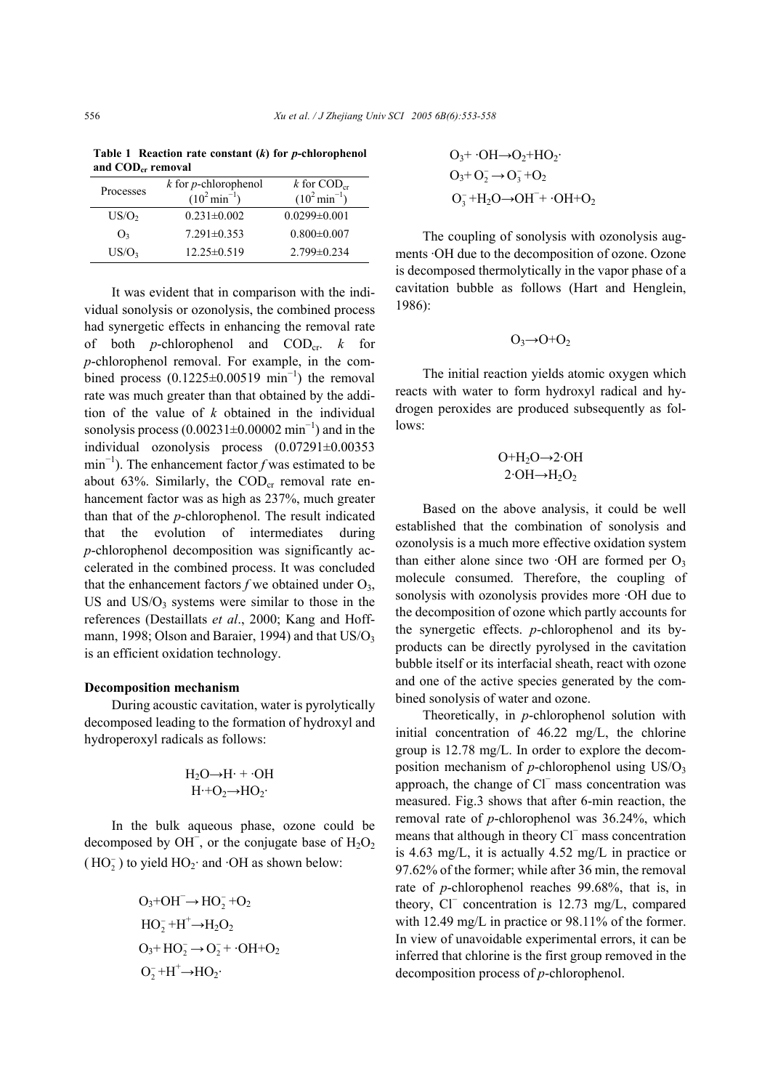**Table 1 Reaction rate constant (***k***) for** *p***-chlorophenol**  and COD<sub>cr</sub> removal

| Processes         | $k$ for <i>p</i> -chlorophenol<br>$(10^2 \text{min}^{-1})$ | k for $\mathrm{COD}_{\mathrm{cr}}$<br>$(10^2 \text{min}^{-1})$ |
|-------------------|------------------------------------------------------------|----------------------------------------------------------------|
| US/O <sub>2</sub> | $0.231 \pm 0.002$                                          | $0.0299 \pm 0.001$                                             |
| O <sub>3</sub>    | $7.291 \pm 0.353$                                          | $0.800 \pm 0.007$                                              |
| US/O <sub>3</sub> | $12.25 \pm 0.519$                                          | $2.799 \pm 0.234$                                              |

It was evident that in comparison with the individual sonolysis or ozonolysis, the combined process had synergetic effects in enhancing the removal rate of both *p*-chlorophenol and CODcr. *k* for *p*-chlorophenol removal. For example, in the combined process  $(0.1225 \pm 0.00519 \text{ min}^{-1})$  the removal rate was much greater than that obtained by the addition of the value of *k* obtained in the individual sonolysis process  $(0.00231 \pm 0.00002 \text{ min}^{-1})$  and in the individual ozonolysis process (0.07291±0.00353 min<sup>−</sup><sup>1</sup> ). The enhancement factor *f* was estimated to be about 63%. Similarly, the  $\text{COD}_{cr}$  removal rate enhancement factor was as high as 237%, much greater than that of the *p*-chlorophenol. The result indicated that the evolution of intermediates during *p*-chlorophenol decomposition was significantly accelerated in the combined process. It was concluded that the enhancement factors  $f$  we obtained under  $O_3$ , US and  $US/O_3$  systems were similar to those in the references (Destaillats *et al*., 2000; Kang and Hoffmann, 1998; Olson and Baraier, 1994) and that US/O<sub>3</sub> is an efficient oxidation technology.

## **Decomposition mechanism**

During acoustic cavitation, water is pyrolytically decomposed leading to the formation of hydroxyl and hydroperoxyl radicals as follows:

$$
H_2O \rightarrow H \cdot + \cdot OH
$$
  

$$
H \cdot + O_2 \rightarrow HO_2 \cdot
$$

In the bulk aqueous phase, ozone could be decomposed by OH<sup>-</sup>, or the conjugate base of  $H_2O_2$  $(HO<sub>2</sub><sup>-</sup>)$  to yield  $HO<sub>2</sub><sup>-</sup>$  and  $O<sub>2</sub><sup>-</sup>$  as shown below:

$$
O_3 + OH^- \rightarrow HO_2^- + O_2
$$
  
\n
$$
HO_2^- + H^+ \rightarrow H_2O_2
$$
  
\n
$$
O_3 + HO_2^- \rightarrow O_2^- + \cdot OH + O_2
$$
  
\n
$$
O_2^- + H^+ \rightarrow HO_2
$$

$$
O_3 + O_2 + HO_2
$$
  
\n
$$
O_3 + O_2^- \rightarrow O_3^- + O_2
$$
  
\n
$$
O_3^- + H_2O \rightarrow OH^- + O_2 + O_2
$$

The coupling of sonolysis with ozonolysis augments ·OH due to the decomposition of ozone. Ozone is decomposed thermolytically in the vapor phase of a cavitation bubble as follows (Hart and Henglein, 1986):

$$
\mathrm{O}_3 \rightarrow \mathrm{O} + \mathrm{O}_2
$$

The initial reaction yields atomic oxygen which reacts with water to form hydroxyl radical and hydrogen peroxides are produced subsequently as follows:

$$
O+H_2O \rightarrow 2 \cdot OH
$$
  
2 $\cdot OH \rightarrow H_2O_2$ 

Based on the above analysis, it could be well established that the combination of sonolysis and ozonolysis is a much more effective oxidation system than either alone since two  $\cdot$ OH are formed per O<sub>3</sub> molecule consumed. Therefore, the coupling of sonolysis with ozonolysis provides more ·OH due to the decomposition of ozone which partly accounts for the synergetic effects. *p*-chlorophenol and its byproducts can be directly pyrolysed in the cavitation bubble itself or its interfacial sheath, react with ozone and one of the active species generated by the combined sonolysis of water and ozone.

Theoretically, in *p*-chlorophenol solution with initial concentration of 46.22 mg/L, the chlorine group is 12.78 mg/L. In order to explore the decomposition mechanism of  $p$ -chlorophenol using  $US/O_3$ approach, the change of Cl<sup>−</sup> mass concentration was measured. Fig.3 shows that after 6-min reaction, the removal rate of *p*-chlorophenol was 36.24%, which means that although in theory Cl⊤mass concentration is 4.63 mg/L, it is actually 4.52 mg/L in practice or 97.62% of the former; while after 36 min, the removal rate of *p*-chlorophenol reaches 99.68%, that is, in theory, Cl<sup>−</sup> concentration is 12.73 mg/L, compared with 12.49 mg/L in practice or 98.11% of the former. In view of unavoidable experimental errors, it can be inferred that chlorine is the first group removed in the decomposition process of *p*-chlorophenol.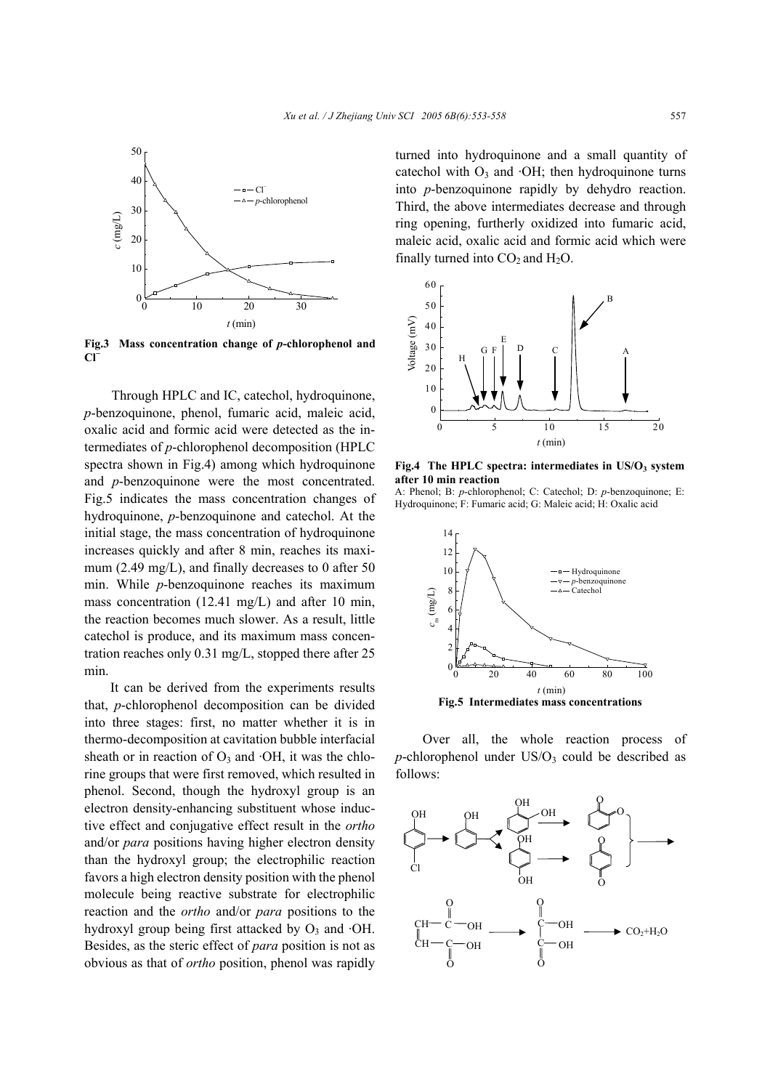

**Fig.3 Mass concentration change of** *p***-chlorophenol and Cl<sup>−</sup>**

Through HPLC and IC, catechol, hydroquinone, *p*-benzoquinone, phenol, fumaric acid, maleic acid, oxalic acid and formic acid were detected as the intermediates of *p*-chlorophenol decomposition (HPLC spectra shown in Fig.4) among which hydroquinone and *p*-benzoquinone were the most concentrated. Fig.5 indicates the mass concentration changes of hydroquinone, *p*-benzoquinone and catechol. At the initial stage, the mass concentration of hydroquinone increases quickly and after 8 min, reaches its maximum (2.49 mg/L), and finally decreases to 0 after 50 min. While *p*-benzoquinone reaches its maximum mass concentration (12.41 mg/L) and after 10 min, the reaction becomes much slower. As a result, little catechol is produce, and its maximum mass concentration reaches only 0.31 mg/L, stopped there after 25 min.

It can be derived from the experiments results that, *p*-chlorophenol decomposition can be divided into three stages: first, no matter whether it is in thermo-decomposition at cavitation bubble interfacial sheath or in reaction of  $O_3$  and  $\cdot$ OH, it was the chlorine groups that were first removed, which resulted in phenol. Second, though the hydroxyl group is an electron density-enhancing substituent whose inductive effect and conjugative effect result in the *ortho* and/or *para* positions having higher electron density than the hydroxyl group; the electrophilic reaction favors a high electron density position with the phenol molecule being reactive substrate for electrophilic reaction and the *ortho* and/or *para* positions to the hydroxyl group being first attacked by  $O_3$  and  $\cdot$ OH. Besides, as the steric effect of *para* position is not as obvious as that of *ortho* position, phenol was rapidly turned into hydroquinone and a small quantity of catechol with  $O_3$  and  $\cdot$ OH; then hydroquinone turns into *p*-benzoquinone rapidly by dehydro reaction. Third, the above intermediates decrease and through ring opening, furtherly oxidized into fumaric acid, maleic acid, oxalic acid and formic acid which were finally turned into  $CO<sub>2</sub>$  and  $H<sub>2</sub>O$ .



Fig.4 The HPLC spectra: intermediates in US/O<sub>3</sub> system **after 10 min reaction** 

A: Phenol; B: *p*-chlorophenol; C: Catechol; D: *p*-benzoquinone; E: Hydroquinone; F: Fumaric acid; G: Maleic acid; H: Oxalic acid



**Fig.5 Intermediates mass concentrations**

Over all, the whole reaction process of  $p$ -chlorophenol under US/O<sub>3</sub> could be described as follows: